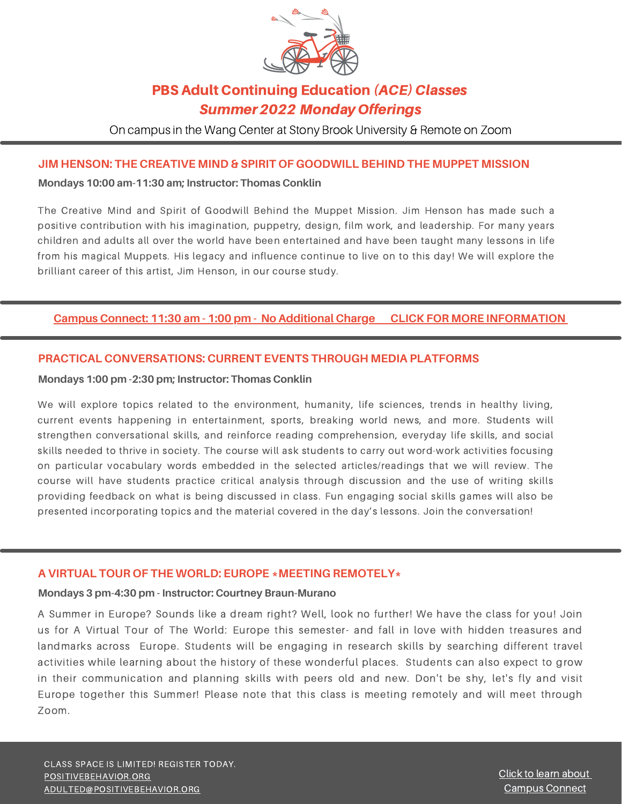

## **PBS Adult Continuing Education (ACE) Classes** Summer2022 MondayOfferings

On campus in the Wang Center at Stony Brook University & Remote on Zoom

### **JIM HENSON: THE CREATIVE MIND & SPIRIT OF GOODWILL BEHIND THE MUPPET MISSION**

#### **Mondays 10:00 am-11:30 am; Instructor: Thomas Conklin**

The Creative Mind and Spirit of Goodwill Behind the Muppet Mission. Jim Henson has made such a positive contribution with his imagination, puppetry, design, film work, and leadership. For many years children and adults all over the world have been entertained and have been taught many lessons in life from his magical Muppets. His legacy and influence continue to live on to this day! We will explore the brilliant career of this artist, Jim Henson, in our course study.

### **Campus [Connect:](https://drive.google.com/file/d/1FJt2m3K_7ac662SjMV9pOlJrYEJQ5Rkw/view?usp=sharing) 11:30 am - 1:00 pm - No [Additional](https://drive.google.com/file/d/1FJt2m3K_7ac662SjMV9pOlJrYEJQ5Rkw/view?usp=sharing) Charge [C](https://drive.google.com/file/d/1FJt2m3K_7ac662SjMV9pOlJrYEJQ5Rkw/view?usp=sharing)LICK FOR MORE [INFORMATION](https://drive.google.com/file/d/1FJt2m3K_7ac662SjMV9pOlJrYEJQ5Rkw/view?usp=sharing)**

### **PRACTICAL CONVERSATIONS: CURRENT EVENTS THROUGH MEDIA PLATFORMS**

#### **Mondays 1:00 pm -2:30 pm; Instructor: Thomas Conklin**

We will explore topics related to the environment, humanity, life sciences, trends in healthy living, current events happening in entertainment, sports, breaking world news, and more. Students will strengthen conversational skills, and reinforce reading comprehension, everyday life skills, and social skills needed to thrive in society. The course will ask students to carry out word-work activities focusing on particular vocabulary words embedded in the selected articles/readings that we will review. The course will have students practice critical analysis through discussion and the use of writing skills providing feedback on what is being discussed in class. Fun engaging social skills games will also be presented incorporating topics and the material covered in the day's lessons. Join the conversation!

#### **A VIRTUAL TOUR OF THE WORLD: EUROPE \*MEETING REMOTELY\***

#### **Mondays 3 pm-4:30 pm - Instructor: Courtney Braun-Murano**

A Summer in Europe? Sounds like a dream right? Well, look no further! We have the class for you! Join us for A Virtual Tour of The World: Europe this semester- and fall in love with hidden treasures and landmarks across Europe. Students will be engaging in research skills by searching different travel activities while learning about the history of these wonderful places. Students can also expect to grow in their communication and planning skills with peers old and new. Don't be shy, let's fly and visit Europe together this Summer! Please note that this class is meeting remotely and will meet through Zoom.

CLASS SPACE IS LIMITED! REGISTER TODAY. [POSITIVEBEHAVIOR.ORG](http://www.positivebehavior.org/) [ADULTED@POSITIVEBEHAVIOR.ORG](mailto:adulted@positivebehavior.edu)

Click to learn [about](https://drive.google.com/file/d/1FJt2m3K_7ac662SjMV9pOlJrYEJQ5Rkw/view?usp=sharing) Campus [Connect](https://drive.google.com/file/d/1FJt2m3K_7ac662SjMV9pOlJrYEJQ5Rkw/view?usp=sharing)